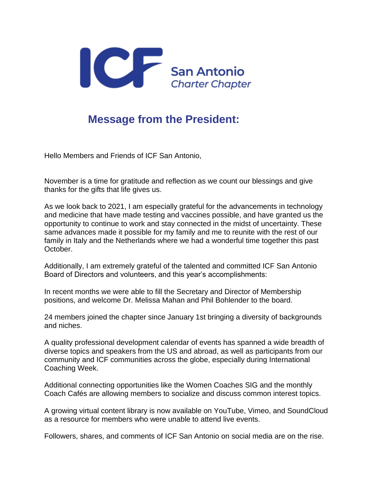

## **Message from the President:**

Hello Members and Friends of ICF San Antonio,

November is a time for gratitude and reflection as we count our blessings and give thanks for the gifts that life gives us.

As we look back to 2021, I am especially grateful for the advancements in technology and medicine that have made testing and vaccines possible, and have granted us the opportunity to continue to work and stay connected in the midst of uncertainty. These same advances made it possible for my family and me to reunite with the rest of our family in Italy and the Netherlands where we had a wonderful time together this past October.

Additionally, I am extremely grateful of the talented and committed ICF San Antonio Board of Directors and volunteers, and this year's accomplishments:

In recent months we were able to fill the Secretary and Director of Membership positions, and welcome Dr. Melissa Mahan and Phil Bohlender to the board.

24 members joined the chapter since January 1st bringing a diversity of backgrounds and niches.

A quality professional development calendar of events has spanned a wide breadth of diverse topics and speakers from the US and abroad, as well as participants from our community and ICF communities across the globe, especially during International Coaching Week.

Additional connecting opportunities like the Women Coaches SIG and the monthly Coach Cafés are allowing members to socialize and discuss common interest topics.

A growing virtual content library is now available on YouTube, Vimeo, and SoundCloud as a resource for members who were unable to attend live events.

Followers, shares, and comments of ICF San Antonio on social media are on the rise.